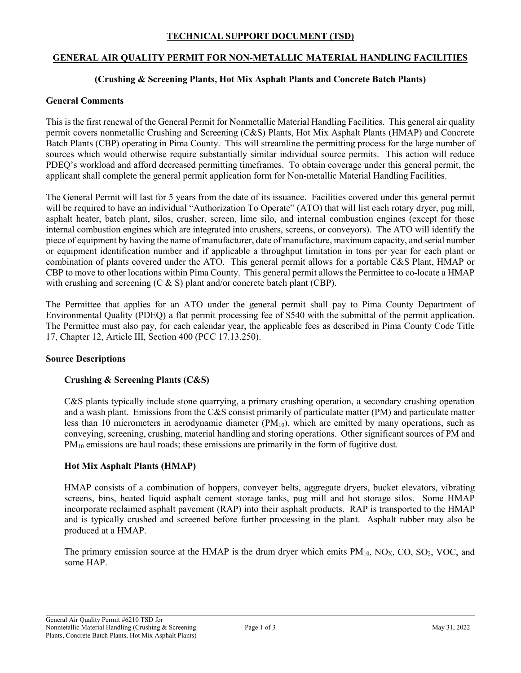### **TECHNICAL SUPPORT DOCUMENT (TSD)**

### **GENERAL AIR QUALITY PERMIT FOR NON-METALLIC MATERIAL HANDLING FACILITIES**

# **(Crushing & Screening Plants, Hot Mix Asphalt Plants and Concrete Batch Plants)**

#### **General Comments**

This is the first renewal of the General Permit for Nonmetallic Material Handling Facilities. This general air quality permit covers nonmetallic Crushing and Screening (C&S) Plants, Hot Mix Asphalt Plants (HMAP) and Concrete Batch Plants (CBP) operating in Pima County. This will streamline the permitting process for the large number of sources which would otherwise require substantially similar individual source permits. This action will reduce PDEQ's workload and afford decreased permitting timeframes. To obtain coverage under this general permit, the applicant shall complete the general permit application form for Non-metallic Material Handling Facilities.

The General Permit will last for 5 years from the date of its issuance. Facilities covered under this general permit will be required to have an individual "Authorization To Operate" (ATO) that will list each rotary dryer, pug mill, asphalt heater, batch plant, silos, crusher, screen, lime silo, and internal combustion engines (except for those internal combustion engines which are integrated into crushers, screens, or conveyors). The ATO will identify the piece of equipment by having the name of manufacturer, date of manufacture, maximum capacity, and serial number or equipment identification number and if applicable a throughput limitation in tons per year for each plant or combination of plants covered under the ATO. This general permit allows for a portable C&S Plant, HMAP or CBP to move to other locations within Pima County. This general permit allows the Permittee to co-locate a HMAP with crushing and screening  $(C & S)$  plant and/or concrete batch plant (CBP).

The Permittee that applies for an ATO under the general permit shall pay to Pima County Department of Environmental Quality (PDEQ) a flat permit processing fee of \$540 with the submittal of the permit application. The Permittee must also pay, for each calendar year, the applicable fees as described in Pima County Code Title 17, Chapter 12, Article III, Section 400 (PCC 17.13.250).

### **Source Descriptions**

### **Crushing & Screening Plants (C&S)**

C&S plants typically include stone quarrying, a primary crushing operation, a secondary crushing operation and a wash plant. Emissions from the C&S consist primarily of particulate matter (PM) and particulate matter less than 10 micrometers in aerodynamic diameter  $(PM_{10})$ , which are emitted by many operations, such as conveying, screening, crushing, material handling and storing operations. Other significant sources of PM and  $PM_{10}$  emissions are haul roads; these emissions are primarily in the form of fugitive dust.

### **Hot Mix Asphalt Plants (HMAP)**

HMAP consists of a combination of hoppers, conveyer belts, aggregate dryers, bucket elevators, vibrating screens, bins, heated liquid asphalt cement storage tanks, pug mill and hot storage silos. Some HMAP incorporate reclaimed asphalt pavement (RAP) into their asphalt products. RAP is transported to the HMAP and is typically crushed and screened before further processing in the plant. Asphalt rubber may also be produced at a HMAP.

The primary emission source at the HMAP is the drum dryer which emits  $PM_{10}$ ,  $NO<sub>X</sub>$ ,  $CO$ ,  $SO<sub>2</sub>$ , VOC, and some HAP.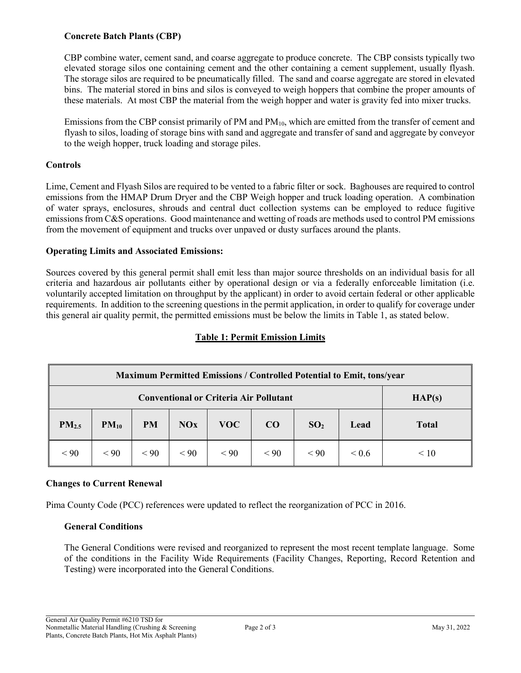# **Concrete Batch Plants (CBP)**

CBP combine water, cement sand, and coarse aggregate to produce concrete. The CBP consists typically two elevated storage silos one containing cement and the other containing a cement supplement, usually flyash. The storage silos are required to be pneumatically filled. The sand and coarse aggregate are stored in elevated bins. The material stored in bins and silos is conveyed to weigh hoppers that combine the proper amounts of these materials. At most CBP the material from the weigh hopper and water is gravity fed into mixer trucks.

Emissions from the CBP consist primarily of PM and PM<sub>10</sub>, which are emitted from the transfer of cement and flyash to silos, loading of storage bins with sand and aggregate and transfer of sand and aggregate by conveyor to the weigh hopper, truck loading and storage piles.

# **Controls**

Lime, Cement and Flyash Silos are required to be vented to a fabric filter or sock. Baghouses are required to control emissions from the HMAP Drum Dryer and the CBP Weigh hopper and truck loading operation. A combination of water sprays, enclosures, shrouds and central duct collection systems can be employed to reduce fugitive emissions from C&S operations. Good maintenance and wetting of roads are methods used to control PM emissions from the movement of equipment and trucks over unpaved or dusty surfaces around the plants.

### **Operating Limits and Associated Emissions:**

Sources covered by this general permit shall emit less than major source thresholds on an individual basis for all criteria and hazardous air pollutants either by operational design or via a federally enforceable limitation (i.e. voluntarily accepted limitation on throughput by the applicant) in order to avoid certain federal or other applicable requirements. In addition to the screening questions in the permit application, in order to qualify for coverage under this general air quality permit, the permitted emissions must be below the limits in Table 1, as stated below.

# **Table 1: Permit Emission Limits**

| <b>Maximum Permitted Emissions / Controlled Potential to Emit, tons/year</b> |           |           |            |      |      |                 |       |              |
|------------------------------------------------------------------------------|-----------|-----------|------------|------|------|-----------------|-------|--------------|
| <b>Conventional or Criteria Air Pollutant</b>                                |           |           |            |      |      |                 |       | HAP(s)       |
| PM <sub>2.5</sub>                                                            | $PM_{10}$ | <b>PM</b> | <b>NOx</b> | VOC- | CO   | SO <sub>2</sub> | Lead  | <b>Total</b> |
| < 90                                                                         | < 90      | < 90      | < 90       | < 90 | < 90 | $\leq 90$       | < 0.6 | $\leq 10$    |

# **Changes to Current Renewal**

Pima County Code (PCC) references were updated to reflect the reorganization of PCC in 2016.

### **General Conditions**

The General Conditions were revised and reorganized to represent the most recent template language. Some of the conditions in the Facility Wide Requirements (Facility Changes, Reporting, Record Retention and Testing) were incorporated into the General Conditions.